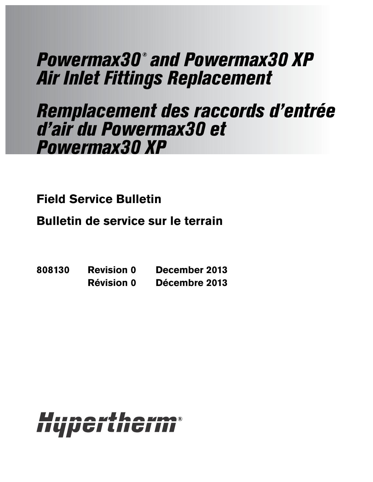# Powermax30 ® and Powermax30 XP Air Inlet Fittings Replacement

# Remplacement des raccords d'entrée d'air du Powermax30 et Powermax30 XP

**Field Service Bulletin**

**Bulletin de service sur le terrain**

**808130 Revision 0 December 2013 Révision 0 Décembre 2013**

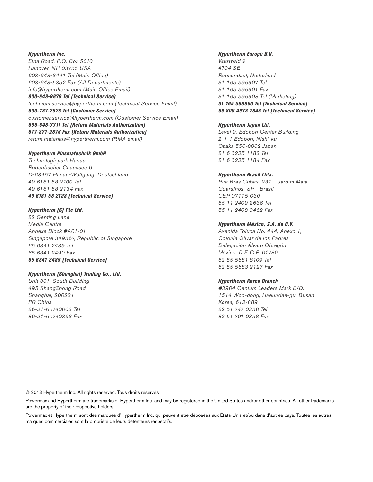Hypertherm Inc. Etna Road, P.O. Box 5010 Hanover, NH 03755 USA 603-643-3441 Tel (Main Office) 603-643-5352 Fax (All Departments) info@hypertherm.com (Main Office Email) 800-643-9878 Tel (Technical Service) technical.service@hypertherm.com (Technical Service Email)

800-737-2978 Tel (Customer Service) customer.service@hypertherm.com (Customer Service Email) 866-643-7711 Tel (Return Materials Authorization) 877-371-2876 Fax (Return Materials Authorization) return.materials@hypertherm.com (RMA email)

#### Hypertherm Plasmatechnik GmbH

Technologiepark Hanau Rodenbacher Chaussee 6 D-63457 Hanau-Wolfgang, Deutschland 49 6181 58 2100 Tel 49 6181 58 2134 Fax 49 6181 58 2123 (Technical Service)

#### Hypertherm (S) Pte Ltd.

82 Genting Lane Media Centre Annexe Block #A01-01 Singapore 349567, Republic of Singapore 65 6841 2489 Tel 65 6841 2490 Fax 65 6841 2489 (Technical Service)

#### Hypertherm (Shanghai) Trading Co., Ltd.

Unit 301, South Building 495 ShangZhong Road Shanghai, 200231 PR China 86-21-60740003 Tel 86-21-60740393 Fax

### Hypertherm Europe B.V.

Vaartveld 9 4704 SE Roosendaal, Nederland 31 165 596907 Tel 31 165 596901 Fax 31 165 596908 Tel (Marketing) 31 165 596900 Tel (Technical Service) 00 800 4973 7843 Tel (Technical Service)

#### Hypertherm Japan Ltd.

Level 9, Edobori Center Building 2-1-1 Edobori, Nishi-ku Osaka 550-0002 Japan 81 6 6225 1183 Tel 81 6 6225 1184 Fax

#### Hypertherm Brasil Ltda.

Rua Bras Cubas, 231 – Jardim Maia Guarulhos, SP - Brasil CEP 07115-030 55 11 2409 2636 Tel 55 11 2408 0462 Fax

#### Hypertherm México, S.A. de C.V.

Avenida Toluca No. 444, Anexo 1, Colonia Olivar de los Padres Delegación Álvaro Obregón México, D.F. C.P. 01780 52 55 5681 8109 Tel 52 55 5683 2127 Fax

#### Hypertherm Korea Branch

#3904 Centum Leaders Mark B/D, 1514 Woo-dong, Haeundae-gu, Busan Korea, 612-889 82 51 747 0358 Tel 82 51 701 0358 Fax

© 2013 Hypertherm Inc. All rights reserved. Tous droits réservés.

Powermax and Hypertherm are trademarks of Hypertherm Inc. and may be registered in the United States and/or other countries. All other trademarks are the property of their respective holders.

Powermax et Hypertherm sont des marques d'Hypertherm Inc. qui peuvent être déposées aux États-Unis et/ou dans d'autres pays. Toutes les autres marques commerciales sont la propriété de leurs détenteurs respectifs.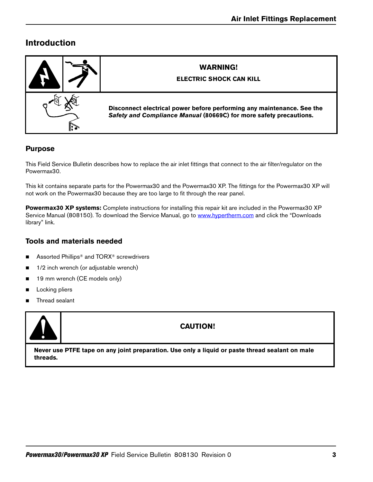# **Introduction**



## **Purpose**

This Field Service Bulletin describes how to replace the air inlet fittings that connect to the air filter/regulator on the Powermax30.

This kit contains separate parts for the Powermax30 and the Powermax30 XP. The fittings for the Powermax30 XP will not work on the Powermax30 because they are too large to fit through the rear panel.

**Powermax30 XP systems:** [Complete instructions for installing this repair kit are included in the Powermax30 XP](https://www.hypertherm.com)  [Service Manual \(808150\). To download the Service Manual, go to w](https://www.hypertherm.com)ww.hypertherm.com and click the "Downloads" library" link.

## **Tools and materials needed**

- Assorted Phillips<sup>®</sup> and TORX<sup>®</sup> screwdrivers
- 1/2 inch wrench (or adjustable wrench)
- 19 mm wrench (CE models only)
- **Locking pliers**
- Thread sealant



## **CAUTION!**

**Never use PTFE tape on any joint preparation. Use only a liquid or paste thread sealant on male threads.**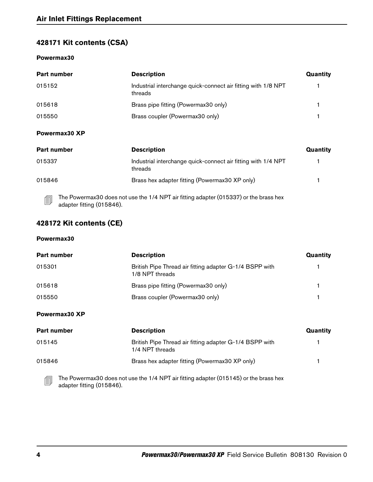## **428171 Kit contents (CSA)**

## **Powermax30**

| <b>Part number</b> | <b>Description</b>                                                       | Quantity |
|--------------------|--------------------------------------------------------------------------|----------|
| 015152             | Industrial interchange quick-connect air fitting with 1/8 NPT<br>threads |          |
| 015618             | Brass pipe fitting (Powermax30 only)                                     |          |
| 015550             | Brass coupler (Powermax30 only)                                          |          |
| Powermax30 XP      |                                                                          |          |

| <b>Part number</b>             | <b>Description</b>                                                                    | Quantity |
|--------------------------------|---------------------------------------------------------------------------------------|----------|
| 015337                         | Industrial interchange quick-connect air fitting with 1/4 NPT<br>threads              |          |
| 015846                         | Brass hex adapter fitting (Powermax30 XP only)                                        |          |
| 勖<br>adapter fitting (015846). | The Powermax30 does not use the 1/4 NPT air fitting adapter (015337) or the brass hex |          |

## **428172 Kit contents (CE)**

## **Powermax30**

| Part number | <b>Description</b>                                                         | Quantity |
|-------------|----------------------------------------------------------------------------|----------|
| 015301      | British Pipe Thread air fitting adapter G-1/4 BSPP with<br>1/8 NPT threads |          |
| 015618      | Brass pipe fitting (Powermax30 only)                                       |          |
| 015550      | Brass coupler (Powermax30 only)                                            |          |

## **Powermax30 XP**

| <b>Part number</b>                    | <b>Description</b>                                                                    | Quantity |
|---------------------------------------|---------------------------------------------------------------------------------------|----------|
| 015145                                | British Pipe Thread air fitting adapter G-1/4 BSPP with<br>1/4 NPT threads            |          |
| 015846                                | Brass hex adapter fitting (Powermax30 XP only)                                        |          |
| 凬<br>$\sim$ dontor fitting $(01E0AB)$ | The Powermax30 does not use the 1/4 NPT air fitting adapter (015145) or the brass hex |          |

adapter fitting (015846).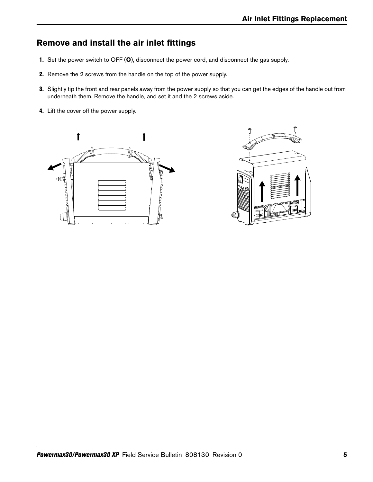# **Remove and install the air inlet fittings**

- 1. Set the power switch to OFF (**O**), disconnect the power cord, and disconnect the gas supply.
- 2. Remove the 2 screws from the handle on the top of the power supply.
- 3. Slightly tip the front and rear panels away from the power supply so that you can get the edges of the handle out from underneath them. Remove the handle, and set it and the 2 screws aside.
- 4. Lift the cover off the power supply.



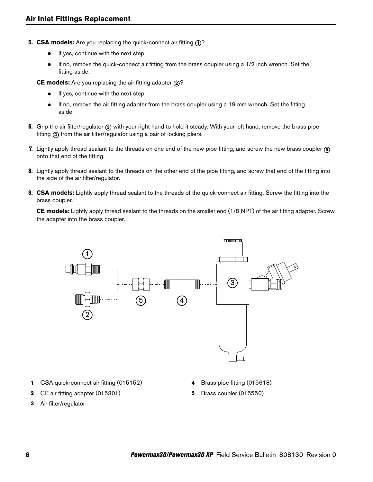- **5. CSA models:** Are you replacing the quick-connect air fitting  $\textcircled{1}$ ?
	- If yes, continue with the next step.
	- If no, remove the quick-connect air fitting from the brass coupler using a 1/2 inch wrench. Set the fitting aside.

**CE models:** Are you replacing the air fitting adapter 2?

- $\bullet$  If yes, continue with the next step.
- If no, remove the air fitting adapter from the brass coupler using a 19 mm wrench. Set the fitting aside.
- 6. Grip the air filter/regulator 3 with your right hand to hold it steady. With your left hand, remove the brass pipe fitting 4 from the air filter/regulator using a pair of locking pliers.
- 7. Lightly apply thread sealant to the threads on one end of the new pipe fitting, and screw the new brass coupler **5** onto that end of the fitting.
- 8. Lightly apply thread sealant to the threads on the other end of the pipe fitting, and screw that end of the fitting into the side of the air filter/regulator.
- 9. **CSA models:** Lightly apply thread sealant to the threads of the quick-connect air fitting. Screw the fitting into the brass coupler.

**CE models:** Lightly apply thread sealant to the threads on the smaller end (1/8 NPT) of the air fitting adapter. Screw the adapter into the brass coupler.



- **1** CSA quick-connect air fitting (015152)
- **2** CE air fitting adapter (015301)
- **3** Air filter/regulator
- **4** Brass pipe fitting (015618)
- **5** Brass coupler (015550)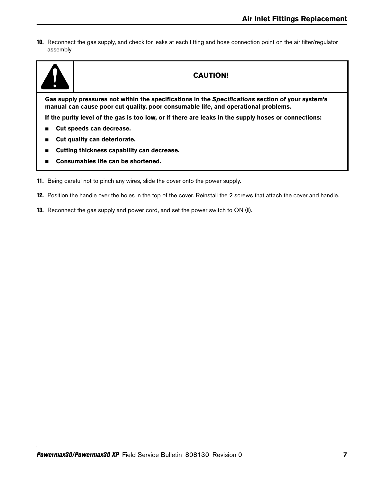10. Reconnect the gas supply, and check for leaks at each fitting and hose connection point on the air filter/regulator assembly.



## **CAUTION!**

**Gas supply pressures not within the specifications in the Specifications section of your system's manual can cause poor cut quality, poor consumable life, and operational problems.**

**If the purity level of the gas is too low, or if there are leaks in the supply hoses or connections:**

- **Cut speeds can decrease.**
- **Cut quality can deteriorate.**
- **Cutting thickness capability can decrease.**
- Consumables life can be shortened.
- 11. Being careful not to pinch any wires, slide the cover onto the power supply.
- 12. Position the handle over the holes in the top of the cover. Reinstall the 2 screws that attach the cover and handle.
- 13. Reconnect the gas supply and power cord, and set the power switch to ON (**I**).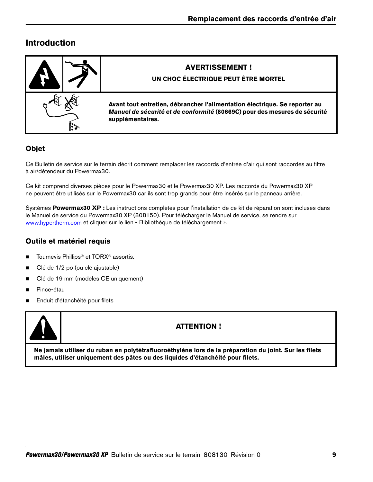# **Introduction**



# **Objet**

Ce Bulletin de service sur le terrain décrit comment remplacer les raccords d'entrée d'air qui sont raccordés au filtre à air/détendeur du Powermax30.

Ce kit comprend diverses pièces pour le Powermax30 et le Powermax30 XP. Les raccords du Powermax30 XP ne peuvent être utilisés sur le Powermax30 car ils sont trop grands pour être insérés sur le panneau arrière.

Systèmes **Powermax30 XP :** Les instructions complètes pour l'installation de ce kit de réparation sont incluses dans [le Manuel de service du Powermax30 XP \(808150\). Pour télécharger le Manuel de service, se rendre sur](https://www.hypertherm.com)  www.hypertherm.com et cliquer sur le lien « Bibliothèque de téléchargement ».

## **Outils et matériel requis**

- Tournevis Phillips<sup>®</sup> et TORX<sup>®</sup> assortis.
- Clé de 1/2 po (ou clé ajustable)
- Clé de 19 mm (modèles CE uniquement)
- **Pince-étau**
- Enduit d'étanchéité pour filets



## **ATTENTION !**

**Ne jamais utiliser du ruban en polytétrafluoroéthylène lors de la préparation du joint. Sur les filets mâles, utiliser uniquement des pâtes ou des liquides d'étanchéité pour filets.**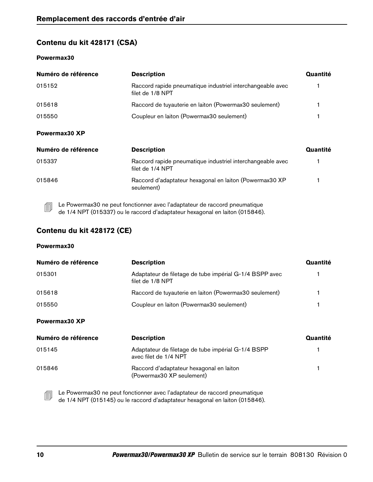## **Contenu du kit 428171 (CSA)**

## **Powermax30**

| Numéro de référence | <b>Description</b>                                                             | Quantité |
|---------------------|--------------------------------------------------------------------------------|----------|
| 015152              | Raccord rapide pneumatique industriel interchangeable avec<br>filet de 1/8 NPT |          |
| 015618              | Raccord de tuyauterie en laiton (Powermax30 seulement)                         |          |
| 015550              | Coupleur en laiton (Powermax30 seulement)                                      |          |
| Powermax30 XP       |                                                                                |          |
| Numéro de référence | <b>Description</b>                                                             | Quantité |
| 015337              | Raccord rapide pneumatique industriel interchangeable avec<br>filet de 1/4 NPT |          |
| 015846              | Raccord d'adaptateur hexagonal en laiton (Powermax30 XP<br>seulement)          |          |

Le Powermax30 ne peut fonctionner avec l'adaptateur de raccord pneumatique<br>
Le 111 MAT (21505) de 1/4 NPT (015337) ou le raccord d'adaptateur hexagonal en laiton (015846).

## **Contenu du kit 428172 (CE)**

### **Powermax30**

| Numéro de référence | <b>Description</b>                                                          | Quantité |
|---------------------|-----------------------------------------------------------------------------|----------|
| 015301              | Adaptateur de filetage de tube impérial G-1/4 BSPP avec<br>filet de 1/8 NPT |          |
| 015618              | Raccord de tuyauterie en laiton (Powermax30 seulement)                      |          |
| 015550              | Coupleur en laiton (Powermax30 seulement)                                   |          |
| Powermax30 XP       |                                                                             |          |

| Numéro de référence | <b>Description</b>                                                          | Quantité |
|---------------------|-----------------------------------------------------------------------------|----------|
| 015145              | Adaptateur de filetage de tube impérial G-1/4 BSPP<br>avec filet de 1/4 NPT |          |
| 015846              | Raccord d'adaptateur hexagonal en laiton<br>(Powermax30 XP seulement)       |          |

Le Powermax30 ne peut fonctionner avec l'adaptateur de raccord pneumatique de 1/4 NPT (015145) ou le raccord d'adaptateur hexagonal en laiton (015846).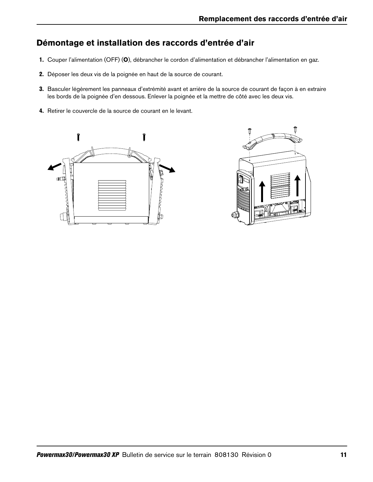# **Démontage et installation des raccords d'entrée d'air**

- 1. Couper l'alimentation (OFF) (**O**), débrancher le cordon d'alimentation et débrancher l'alimentation en gaz.
- 2. Déposer les deux vis de la poignée en haut de la source de courant.
- 3. Basculer légèrement les panneaux d'extrémité avant et arrière de la source de courant de façon à en extraire les bords de la poignée d'en dessous. Enlever la poignée et la mettre de côté avec les deux vis.
- 4. Retirer le couvercle de la source de courant en le levant.



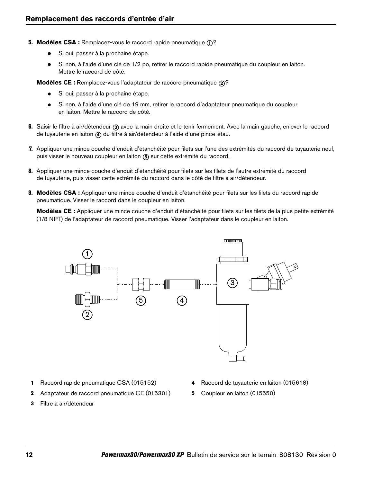- **5. Modèles CSA :** Remplacez-vous le raccord rapide pneumatique **1**?
	- Si oui, passer à la prochaine étape.
	- Si non, à l'aide d'une clé de 1/2 po, retirer le raccord rapide pneumatique du coupleur en laiton. Mettre le raccord de côté.

**Modèles CE :** Remplacez-vous l'adaptateur de raccord pneumatique 2?

- Si oui, passer à la prochaine étape.
- Si non, à l'aide d'une clé de 19 mm, retirer le raccord d'adaptateur pneumatique du coupleur en laiton. Mettre le raccord de côté.
- 6. Saisir le filtre à air/détendeur 3 avec la main droite et le tenir fermement. Avec la main gauche, enlever le raccord de tuyauterie en laiton 4 du filtre à air/détendeur à l'aide d'une pince-étau.
- 7. Appliquer une mince couche d'enduit d'étanchéité pour filets sur l'une des extrémités du raccord de tuyauterie neuf, puis visser le nouveau coupleur en laiton (5) sur cette extrémité du raccord.
- 8. Appliquer une mince couche d'enduit d'étanchéité pour filets sur les filets de l'autre extrémité du raccord de tuyauterie, puis visser cette extrémité du raccord dans le côté de filtre à air/détendeur.
- 9. **Modèles CSA :** Appliquer une mince couche d'enduit d'étanchéité pour filets sur les filets du raccord rapide pneumatique. Visser le raccord dans le coupleur en laiton.

**Modèles CE :** Appliquer une mince couche d'enduit d'étanchéité pour filets sur les filets de la plus petite extrémité (1/8 NPT) de l'adaptateur de raccord pneumatique. Visser l'adaptateur dans le coupleur en laiton.



- **1** Raccord rapide pneumatique CSA (015152)
- **2** Adaptateur de raccord pneumatique CE (015301)
- **3** Filtre à air/détendeur
- **4** Raccord de tuyauterie en laiton (015618)
- **5** Coupleur en laiton (015550)